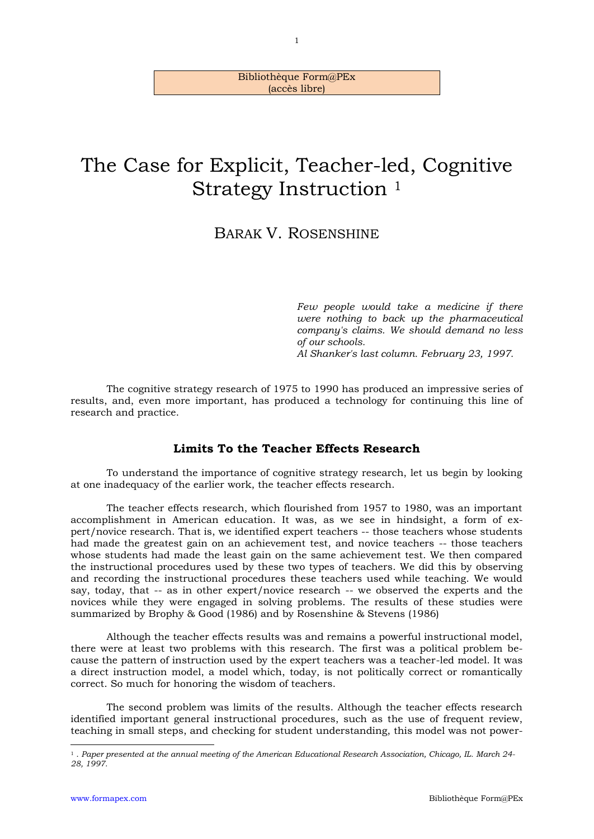#### Bibliothèque Form@PEx (accès libre)

# The Case for Explicit, Teacher-led, Cognitive Strategy Instruction <sup>1</sup>

# BARAK V. ROSENSHINE

*Few people would take a medicine if there were nothing to back up the pharmaceutical company's claims. We should demand no less of our schools. Al Shanker's last column. February 23, 1997.*

The cognitive strategy research of 1975 to 1990 has produced an impressive series of results, and, even more important, has produced a technology for continuing this line of research and practice.

# **Limits To the Teacher Effects Research**

To understand the importance of cognitive strategy research, let us begin by looking at one inadequacy of the earlier work, the teacher effects research.

The teacher effects research, which flourished from 1957 to 1980, was an important accomplishment in American education. It was, as we see in hindsight, a form of expert/novice research. That is, we identified expert teachers -- those teachers whose students had made the greatest gain on an achievement test, and novice teachers -- those teachers whose students had made the least gain on the same achievement test. We then compared the instructional procedures used by these two types of teachers. We did this by observing and recording the instructional procedures these teachers used while teaching. We would say, today, that -- as in other expert/novice research -- we observed the experts and the novices while they were engaged in solving problems. The results of these studies were summarized by Brophy & Good (1986) and by Rosenshine & Stevens (1986)

Although the teacher effects results was and remains a powerful instructional model, there were at least two problems with this research. The first was a political problem because the pattern of instruction used by the expert teachers was a teacher-led model. It was a direct instruction model, a model which, today, is not politically correct or romantically correct. So much for honoring the wisdom of teachers.

The second problem was limits of the results. Although the teacher effects research identified important general instructional procedures, such as the use of frequent review, teaching in small steps, and checking for student understanding, this model was not power-

-

<sup>1</sup> . *Paper presented at the annual meeting of the American Educational Research Association, Chicago, IL. March 24- 28, 1997.*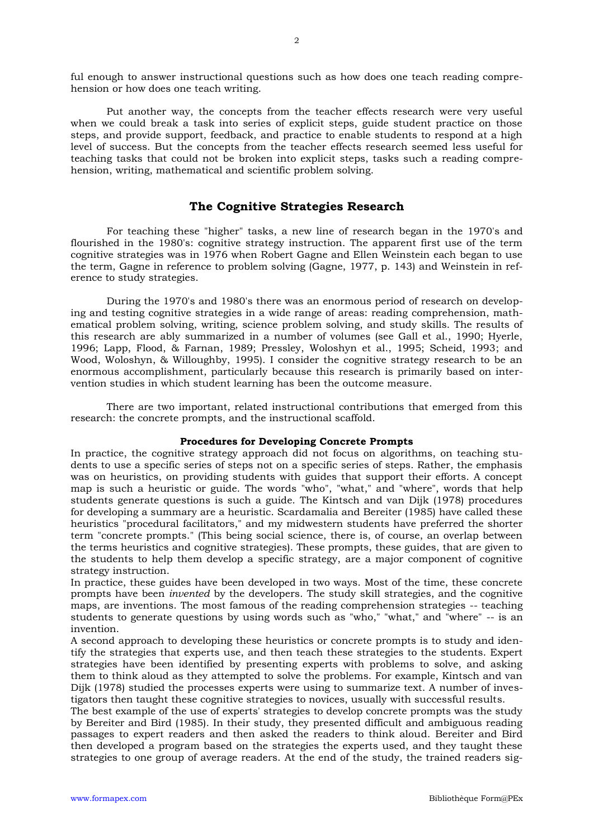ful enough to answer instructional questions such as how does one teach reading comprehension or how does one teach writing.

Put another way, the concepts from the teacher effects research were very useful when we could break a task into series of explicit steps, guide student practice on those steps, and provide support, feedback, and practice to enable students to respond at a high level of success. But the concepts from the teacher effects research seemed less useful for teaching tasks that could not be broken into explicit steps, tasks such a reading comprehension, writing, mathematical and scientific problem solving.

# **The Cognitive Strategies Research**

For teaching these "higher" tasks, a new line of research began in the 1970's and flourished in the 1980's: cognitive strategy instruction. The apparent first use of the term cognitive strategies was in 1976 when Robert Gagne and Ellen Weinstein each began to use the term, Gagne in reference to problem solving (Gagne, 1977, p. 143) and Weinstein in reference to study strategies.

During the 1970's and 1980's there was an enormous period of research on developing and testing cognitive strategies in a wide range of areas: reading comprehension, mathematical problem solving, writing, science problem solving, and study skills. The results of this research are ably summarized in a number of volumes (see Gall et al., 1990; Hyerle, 1996; Lapp, Flood, & Farnan, 1989; Pressley, Woloshyn et al., 1995; Scheid, 1993; and Wood, Woloshyn, & Willoughby, 1995). I consider the cognitive strategy research to be an enormous accomplishment, particularly because this research is primarily based on intervention studies in which student learning has been the outcome measure.

There are two important, related instructional contributions that emerged from this research: the concrete prompts, and the instructional scaffold.

#### **Procedures for Developing Concrete Prompts**

In practice, the cognitive strategy approach did not focus on algorithms, on teaching students to use a specific series of steps not on a specific series of steps. Rather, the emphasis was on heuristics, on providing students with guides that support their efforts. A concept map is such a heuristic or guide. The words "who", "what," and "where", words that help students generate questions is such a guide. The Kintsch and van Dijk (1978) procedures for developing a summary are a heuristic. Scardamalia and Bereiter (1985) have called these heuristics "procedural facilitators," and my midwestern students have preferred the shorter term "concrete prompts." (This being social science, there is, of course, an overlap between the terms heuristics and cognitive strategies). These prompts, these guides, that are given to the students to help them develop a specific strategy, are a major component of cognitive strategy instruction.

In practice, these guides have been developed in two ways. Most of the time, these concrete prompts have been *invented* by the developers. The study skill strategies, and the cognitive maps, are inventions. The most famous of the reading comprehension strategies -- teaching students to generate questions by using words such as "who," "what," and "where" -- is an invention.

A second approach to developing these heuristics or concrete prompts is to study and identify the strategies that experts use, and then teach these strategies to the students. Expert strategies have been identified by presenting experts with problems to solve, and asking them to think aloud as they attempted to solve the problems. For example, Kintsch and van Dijk (1978) studied the processes experts were using to summarize text. A number of investigators then taught these cognitive strategies to novices, usually with successful results.

The best example of the use of experts' strategies to develop concrete prompts was the study by Bereiter and Bird (1985). In their study, they presented difficult and ambiguous reading passages to expert readers and then asked the readers to think aloud. Bereiter and Bird then developed a program based on the strategies the experts used, and they taught these strategies to one group of average readers. At the end of the study, the trained readers sig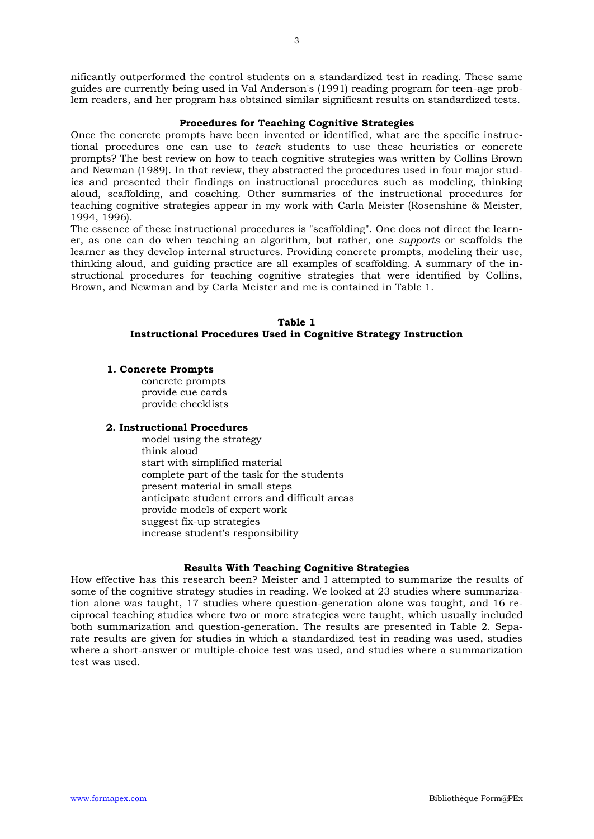nificantly outperformed the control students on a standardized test in reading. These same guides are currently being used in Val Anderson's (1991) reading program for teen-age problem readers, and her program has obtained similar significant results on standardized tests.

#### **Procedures for Teaching Cognitive Strategies**

Once the concrete prompts have been invented or identified, what are the specific instructional procedures one can use to *teach* students to use these heuristics or concrete prompts? The best review on how to teach cognitive strategies was written by Collins Brown and Newman (1989). In that review, they abstracted the procedures used in four major studies and presented their findings on instructional procedures such as modeling, thinking aloud, scaffolding, and coaching. Other summaries of the instructional procedures for teaching cognitive strategies appear in my work with Carla Meister (Rosenshine & Meister, 1994, 1996).

The essence of these instructional procedures is "scaffolding". One does not direct the learner, as one can do when teaching an algorithm, but rather, one *supports* or scaffolds the learner as they develop internal structures. Providing concrete prompts, modeling their use, thinking aloud, and guiding practice are all examples of scaffolding. A summary of the instructional procedures for teaching cognitive strategies that were identified by Collins, Brown, and Newman and by Carla Meister and me is contained in Table 1.

# **Table 1 Instructional Procedures Used in Cognitive Strategy Instruction**

#### **1. Concrete Prompts**

concrete prompts provide cue cards provide checklists

#### **2. Instructional Procedures**

model using the strategy think aloud start with simplified material complete part of the task for the students present material in small steps anticipate student errors and difficult areas provide models of expert work suggest fix-up strategies increase student's responsibility

#### **Results With Teaching Cognitive Strategies**

How effective has this research been? Meister and I attempted to summarize the results of some of the cognitive strategy studies in reading. We looked at 23 studies where summarization alone was taught, 17 studies where question-generation alone was taught, and 16 reciprocal teaching studies where two or more strategies were taught, which usually included both summarization and question-generation. The results are presented in Table 2. Separate results are given for studies in which a standardized test in reading was used, studies where a short-answer or multiple-choice test was used, and studies where a summarization test was used.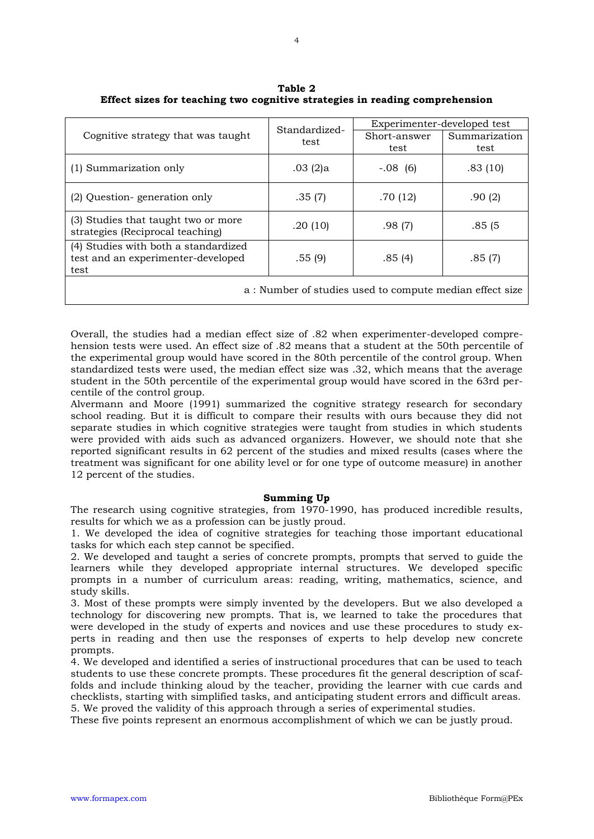| Cognitive strategy that was taught                                                 | Standardized-<br>test | Experimenter-developed test |               |
|------------------------------------------------------------------------------------|-----------------------|-----------------------------|---------------|
|                                                                                    |                       | Short-answer                | Summarization |
|                                                                                    |                       | test                        | test          |
| (1) Summarization only                                                             | .03(2)a               | $-.08(6)$                   | .83(10)       |
| (2) Question-generation only                                                       | .35(7)                | .70 (12)                    | .90(2)        |
| (3) Studies that taught two or more<br>strategies (Reciprocal teaching)            | .20(10)               | .98(7)                      | .85(5)        |
| (4) Studies with both a standardized<br>test and an experimenter-developed<br>test | .55(9)                | .85(4)                      | .85(7)        |
| a: Number of studies used to compute median effect size                            |                       |                             |               |

**Table 2 Effect sizes for teaching two cognitive strategies in reading comprehension**

Overall, the studies had a median effect size of .82 when experimenter-developed comprehension tests were used. An effect size of .82 means that a student at the 50th percentile of the experimental group would have scored in the 80th percentile of the control group. When standardized tests were used, the median effect size was .32, which means that the average student in the 50th percentile of the experimental group would have scored in the 63rd percentile of the control group.

Alvermann and Moore (1991) summarized the cognitive strategy research for secondary school reading. But it is difficult to compare their results with ours because they did not separate studies in which cognitive strategies were taught from studies in which students were provided with aids such as advanced organizers. However, we should note that she reported significant results in 62 percent of the studies and mixed results (cases where the treatment was significant for one ability level or for one type of outcome measure) in another 12 percent of the studies.

# **Summing Up**

The research using cognitive strategies, from 1970-1990, has produced incredible results, results for which we as a profession can be justly proud.

1. We developed the idea of cognitive strategies for teaching those important educational tasks for which each step cannot be specified.

2. We developed and taught a series of concrete prompts, prompts that served to guide the learners while they developed appropriate internal structures. We developed specific prompts in a number of curriculum areas: reading, writing, mathematics, science, and study skills.

3. Most of these prompts were simply invented by the developers. But we also developed a technology for discovering new prompts. That is, we learned to take the procedures that were developed in the study of experts and novices and use these procedures to study experts in reading and then use the responses of experts to help develop new concrete prompts.

4. We developed and identified a series of instructional procedures that can be used to teach students to use these concrete prompts. These procedures fit the general description of scaffolds and include thinking aloud by the teacher, providing the learner with cue cards and checklists, starting with simplified tasks, and anticipating student errors and difficult areas. 5. We proved the validity of this approach through a series of experimental studies.

These five points represent an enormous accomplishment of which we can be justly proud.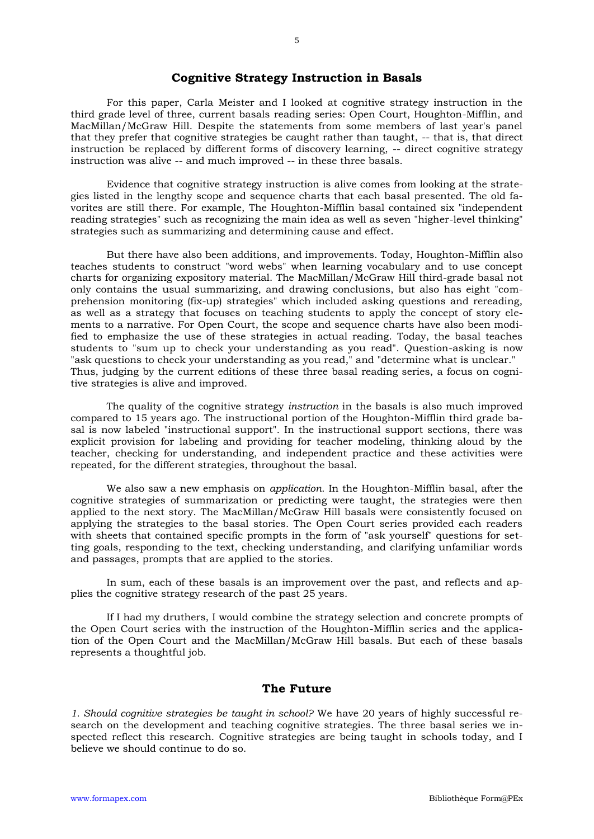# **Cognitive Strategy Instruction in Basals**

For this paper, Carla Meister and I looked at cognitive strategy instruction in the third grade level of three, current basals reading series: Open Court, Houghton-Mifflin, and MacMillan/McGraw Hill. Despite the statements from some members of last year's panel that they prefer that cognitive strategies be caught rather than taught, -- that is, that direct instruction be replaced by different forms of discovery learning, -- direct cognitive strategy instruction was alive -- and much improved -- in these three basals.

Evidence that cognitive strategy instruction is alive comes from looking at the strategies listed in the lengthy scope and sequence charts that each basal presented. The old favorites are still there. For example, The Houghton-Mifflin basal contained six "independent reading strategies" such as recognizing the main idea as well as seven "higher-level thinking" strategies such as summarizing and determining cause and effect.

But there have also been additions, and improvements. Today, Houghton-Mifflin also teaches students to construct "word webs" when learning vocabulary and to use concept charts for organizing expository material. The MacMillan/McGraw Hill third-grade basal not only contains the usual summarizing, and drawing conclusions, but also has eight "comprehension monitoring (fix-up) strategies" which included asking questions and rereading, as well as a strategy that focuses on teaching students to apply the concept of story elements to a narrative. For Open Court, the scope and sequence charts have also been modified to emphasize the use of these strategies in actual reading. Today, the basal teaches students to "sum up to check your understanding as you read". Question-asking is now "ask questions to check your understanding as you read," and "determine what is unclear." Thus, judging by the current editions of these three basal reading series, a focus on cognitive strategies is alive and improved.

The quality of the cognitive strategy *instruction* in the basals is also much improved compared to 15 years ago. The instructional portion of the Houghton-Mifflin third grade basal is now labeled "instructional support". In the instructional support sections, there was explicit provision for labeling and providing for teacher modeling, thinking aloud by the teacher, checking for understanding, and independent practice and these activities were repeated, for the different strategies, throughout the basal.

We also saw a new emphasis on *application*. In the Houghton-Mifflin basal, after the cognitive strategies of summarization or predicting were taught, the strategies were then applied to the next story. The MacMillan/McGraw Hill basals were consistently focused on applying the strategies to the basal stories. The Open Court series provided each readers with sheets that contained specific prompts in the form of "ask yourself" questions for setting goals, responding to the text, checking understanding, and clarifying unfamiliar words and passages, prompts that are applied to the stories.

In sum, each of these basals is an improvement over the past, and reflects and applies the cognitive strategy research of the past 25 years.

If I had my druthers, I would combine the strategy selection and concrete prompts of the Open Court series with the instruction of the Houghton-Mifflin series and the application of the Open Court and the MacMillan/McGraw Hill basals. But each of these basals represents a thoughtful job.

# **The Future**

*1. Should cognitive strategies be taught in school?* We have 20 years of highly successful research on the development and teaching cognitive strategies. The three basal series we inspected reflect this research. Cognitive strategies are being taught in schools today, and I believe we should continue to do so.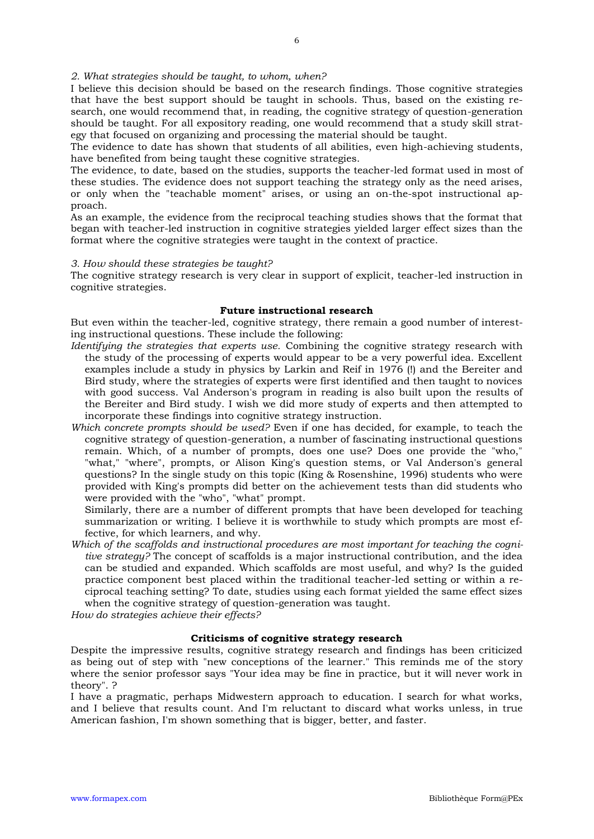I believe this decision should be based on the research findings. Those cognitive strategies that have the best support should be taught in schools. Thus, based on the existing research, one would recommend that, in reading, the cognitive strategy of question-generation should be taught. For all expository reading, one would recommend that a study skill strategy that focused on organizing and processing the material should be taught.

The evidence to date has shown that students of all abilities, even high-achieving students, have benefited from being taught these cognitive strategies.

The evidence, to date, based on the studies, supports the teacher-led format used in most of these studies. The evidence does not support teaching the strategy only as the need arises, or only when the "teachable moment" arises, or using an on-the-spot instructional approach.

As an example, the evidence from the reciprocal teaching studies shows that the format that began with teacher-led instruction in cognitive strategies yielded larger effect sizes than the format where the cognitive strategies were taught in the context of practice.

#### *3. How should these strategies be taught?*

The cognitive strategy research is very clear in support of explicit, teacher-led instruction in cognitive strategies.

#### **Future instructional research**

But even within the teacher-led, cognitive strategy, there remain a good number of interesting instructional questions. These include the following:

- *Identifying the strategies that experts use.* Combining the cognitive strategy research with the study of the processing of experts would appear to be a very powerful idea. Excellent examples include a study in physics by Larkin and Reif in 1976 (!) and the Bereiter and Bird study, where the strategies of experts were first identified and then taught to novices with good success. Val Anderson's program in reading is also built upon the results of the Bereiter and Bird study. I wish we did more study of experts and then attempted to incorporate these findings into cognitive strategy instruction.
- *Which concrete prompts should be used?* Even if one has decided, for example, to teach the cognitive strategy of question-generation, a number of fascinating instructional questions remain. Which, of a number of prompts, does one use? Does one provide the "who," "what," "where", prompts, or Alison King's question stems, or Val Anderson's general questions? In the single study on this topic (King & Rosenshine, 1996) students who were provided with King's prompts did better on the achievement tests than did students who were provided with the "who", "what" prompt.

Similarly, there are a number of different prompts that have been developed for teaching summarization or writing. I believe it is worthwhile to study which prompts are most effective, for which learners, and why.

*Which of the scaffolds and instructional procedures are most important for teaching the cognitive strategy?* The concept of scaffolds is a major instructional contribution, and the idea can be studied and expanded. Which scaffolds are most useful, and why? Is the guided practice component best placed within the traditional teacher-led setting or within a reciprocal teaching setting? To date, studies using each format yielded the same effect sizes when the cognitive strategy of question-generation was taught.

*How do strategies achieve their effects?*

# **Criticisms of cognitive strategy research**

Despite the impressive results, cognitive strategy research and findings has been criticized as being out of step with "new conceptions of the learner." This reminds me of the story where the senior professor says "Your idea may be fine in practice, but it will never work in theory". ?

I have a pragmatic, perhaps Midwestern approach to education. I search for what works, and I believe that results count. And I'm reluctant to discard what works unless, in true American fashion, I'm shown something that is bigger, better, and faster.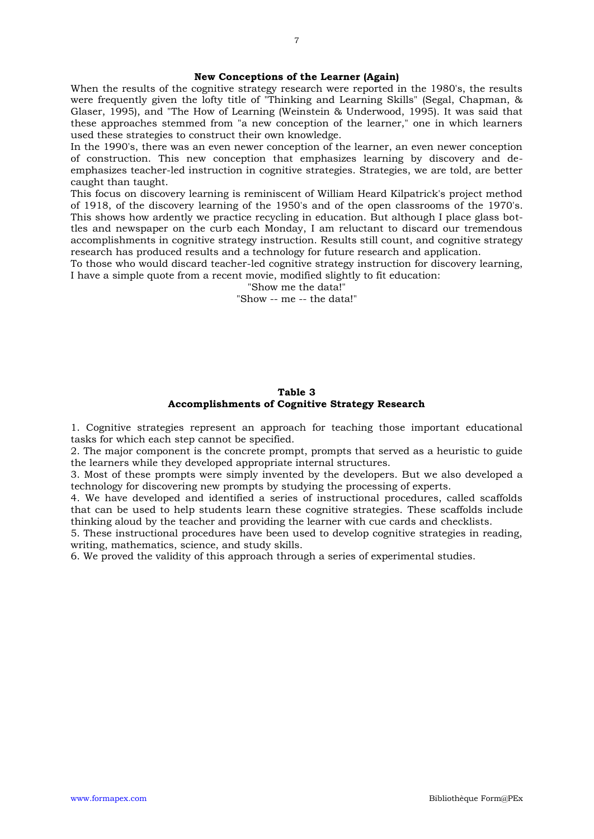#### **New Conceptions of the Learner (Again)**

When the results of the cognitive strategy research were reported in the 1980's, the results were frequently given the lofty title of "Thinking and Learning Skills" (Segal, Chapman, & Glaser, 1995), and "The How of Learning (Weinstein & Underwood, 1995). It was said that these approaches stemmed from "a new conception of the learner," one in which learners used these strategies to construct their own knowledge.

In the 1990's, there was an even newer conception of the learner, an even newer conception of construction. This new conception that emphasizes learning by discovery and deemphasizes teacher-led instruction in cognitive strategies. Strategies, we are told, are better caught than taught.

This focus on discovery learning is reminiscent of William Heard Kilpatrick's project method of 1918, of the discovery learning of the 1950's and of the open classrooms of the 1970's. This shows how ardently we practice recycling in education. But although I place glass bottles and newspaper on the curb each Monday, I am reluctant to discard our tremendous accomplishments in cognitive strategy instruction. Results still count, and cognitive strategy research has produced results and a technology for future research and application.

To those who would discard teacher-led cognitive strategy instruction for discovery learning, I have a simple quote from a recent movie, modified slightly to fit education:

"Show me the data!"

"Show -- me -- the data!"

#### **Table 3 Accomplishments of Cognitive Strategy Research**

1. Cognitive strategies represent an approach for teaching those important educational tasks for which each step cannot be specified.

2. The major component is the concrete prompt, prompts that served as a heuristic to guide the learners while they developed appropriate internal structures.

3. Most of these prompts were simply invented by the developers. But we also developed a technology for discovering new prompts by studying the processing of experts.

4. We have developed and identified a series of instructional procedures, called scaffolds that can be used to help students learn these cognitive strategies. These scaffolds include thinking aloud by the teacher and providing the learner with cue cards and checklists.

5. These instructional procedures have been used to develop cognitive strategies in reading, writing, mathematics, science, and study skills.

6. We proved the validity of this approach through a series of experimental studies.